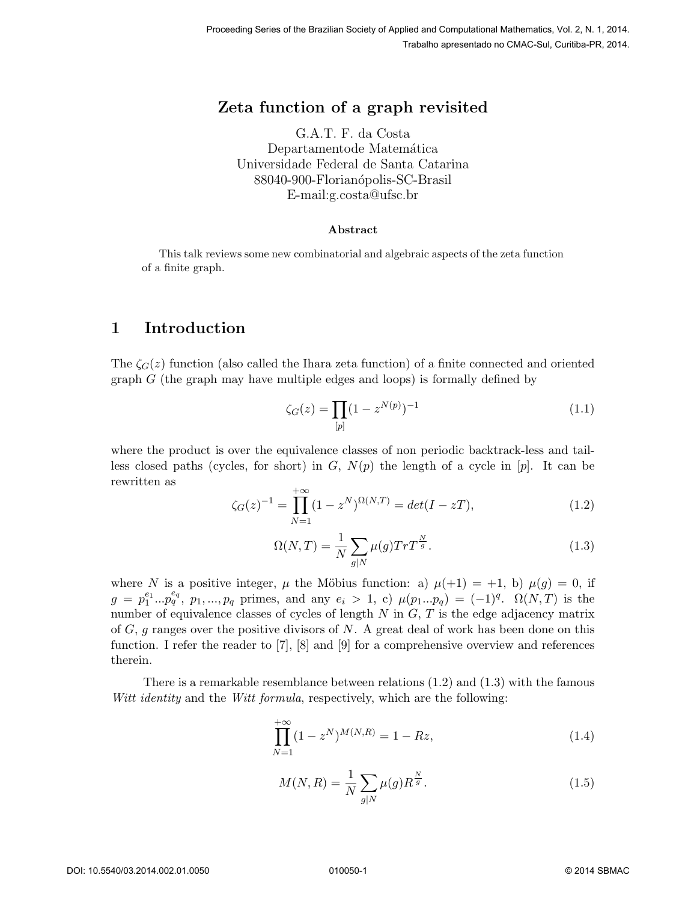# Zeta function of a graph revisited

G.A.T. F. da Costa Departamentode Matemática Universidade Federal de Santa Catarina 88040-900-Florianópolis-SC-Brasil E-mail:g.costa@ufsc.br

#### Abstract

This talk reviews some new combinatorial and algebraic aspects of the zeta function of a finite graph.

## 1 Introduction

The  $\zeta_G(z)$  function (also called the Ihara zeta function) of a finite connected and oriented graph  $G$  (the graph may have multiple edges and loops) is formally defined by

$$
\zeta_G(z) = \prod_{[p]} (1 - z^{N(p)})^{-1} \tag{1.1}
$$

where the product is over the equivalence classes of non periodic backtrack-less and tailless closed paths (cycles, for short) in G,  $N(p)$  the length of a cycle in  $[p]$ . It can be rewritten as

$$
\zeta_G(z)^{-1} = \prod_{N=1}^{+\infty} (1 - z^N)^{\Omega(N,T)} = \det(I - zT),\tag{1.2}
$$

$$
\Omega(N,T) = \frac{1}{N} \sum_{g|N} \mu(g) Tr T^{\frac{N}{g}}.
$$
\n(1.3)

where N is a positive integer,  $\mu$  the Möbius function: a)  $\mu(+1) = +1$ , b)  $\mu(g) = 0$ , if  $g = p_1^{e_1}...p_q^{e_q}$ ,  $p_1,...,p_q$  primes, and any  $e_i > 1$ , c)  $\mu(p_1...p_q) = (-1)^q$ .  $\Omega(N,T)$  is the number of equivalence classes of cycles of length  $N$  in  $G, T$  is the edge adjacency matrix of  $G$ , g ranges over the positive divisors of  $N$ . A great deal of work has been done on this function. I refer the reader to [7], [8] and [9] for a comprehensive overview and references therein.

There is a remarkable resemblance between relations  $(1.2)$  and  $(1.3)$  with the famous Witt identity and the Witt formula, respectively, which are the following:

$$
\prod_{N=1}^{+\infty} (1 - z^N)^{M(N,R)} = 1 - Rz,
$$
\n(1.4)

$$
M(N,R) = \frac{1}{N} \sum_{g|N} \mu(g) R^{\frac{N}{g}}.
$$
\n(1.5)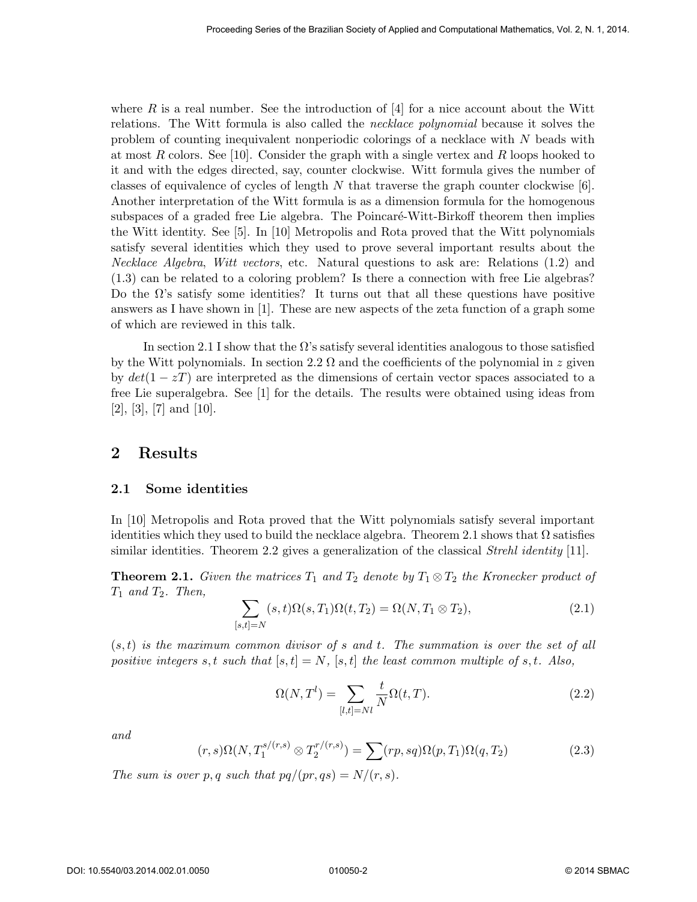where R is a real number. See the introduction of  $[4]$  for a nice account about the Witt relations. The Witt formula is also called the necklace polynomial because it solves the problem of counting inequivalent nonperiodic colorings of a necklace with N beads with at most R colors. See [10]. Consider the graph with a single vertex and R loops hooked to it and with the edges directed, say, counter clockwise. Witt formula gives the number of classes of equivalence of cycles of length  $N$  that traverse the graph counter clockwise [6]. Another interpretation of the Witt formula is as a dimension formula for the homogenous subspaces of a graded free Lie algebra. The Poincaré-Witt-Birkoff theorem then implies the Witt identity. See [5]. In [10] Metropolis and Rota proved that the Witt polynomials satisfy several identities which they used to prove several important results about the Necklace Algebra, Witt vectors, etc. Natural questions to ask are: Relations (1.2) and (1.3) can be related to a coloring problem? Is there a connection with free Lie algebras? Do the  $\Omega$ 's satisfy some identities? It turns out that all these questions have positive answers as I have shown in [1]. These are new aspects of the zeta function of a graph some of which are reviewed in this talk.

In section 2.1 I show that the  $\Omega$ 's satisfy several identities analogous to those satisfied by the Witt polynomials. In section 2.2  $\Omega$  and the coefficients of the polynomial in z given by  $det(1 - zT)$  are interpreted as the dimensions of certain vector spaces associated to a free Lie superalgebra. See [1] for the details. The results were obtained using ideas from  $[2]$ ,  $[3]$ ,  $[7]$  and  $[10]$ .

### 2 Results

#### 2.1 Some identities

In [10] Metropolis and Rota proved that the Witt polynomials satisfy several important identities which they used to build the necklace algebra. Theorem 2.1 shows that  $\Omega$  satisfies similar identities. Theorem 2.2 gives a generalization of the classical *Strehl identity* [11].

**Theorem 2.1.** Given the matrices  $T_1$  and  $T_2$  denote by  $T_1 \otimes T_2$  the Kronecker product of  $T_1$  and  $T_2$ . Then,

$$
\sum_{[s,t]=N}(s,t)\Omega(s,T_1)\Omega(t,T_2)=\Omega(N,T_1\otimes T_2),\qquad(2.1)
$$

 $(s, t)$  is the maximum common divisor of s and t. The summation is over the set of all positive integers s, t such that  $[s, t] = N$ ,  $[s, t]$  the least common multiple of s, t. Also,

$$
\Omega(N, T^l) = \sum_{[l,t]=Nl} \frac{t}{N} \Omega(t, T). \tag{2.2}
$$

and

$$
(r,s)\Omega(N,T_1^{s/(r,s)}\otimes T_2^{r/(r,s)}) = \sum (rp,sq)\Omega(p,T_1)\Omega(q,T_2)
$$
\n(2.3)

The sum is over p, q such that  $pq/(pr, qs) = N/(r, s)$ .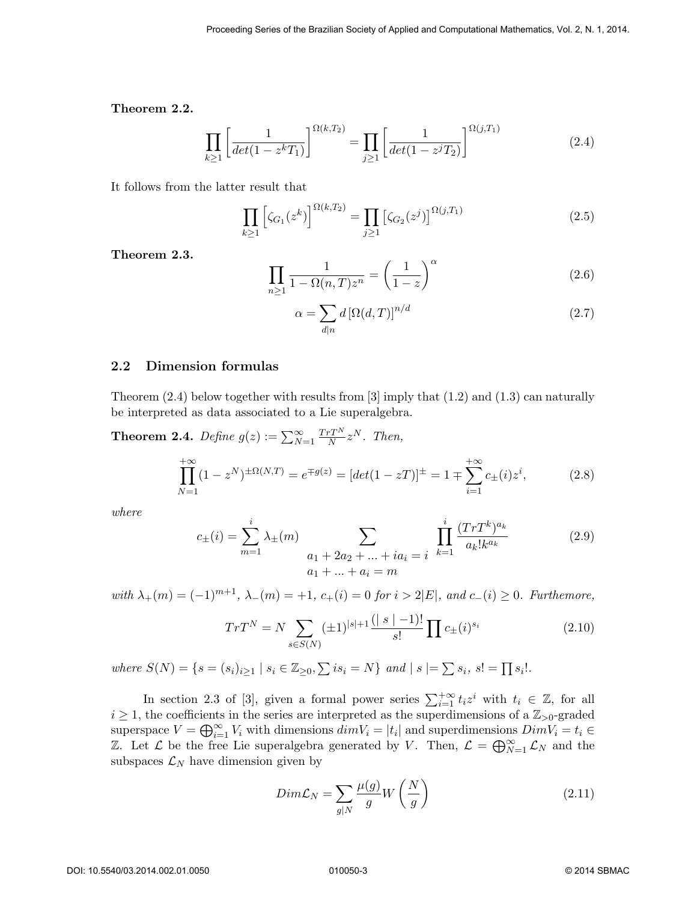Theorem 2.2.

$$
\prod_{k\geq 1} \left[ \frac{1}{\det(1 - z^k T_1)} \right]^{\Omega(k, T_2)} = \prod_{j\geq 1} \left[ \frac{1}{\det(1 - z^j T_2)} \right]^{\Omega(j, T_1)} \tag{2.4}
$$

It follows from the latter result that

$$
\prod_{k\geq 1} \left[ \zeta_{G_1}(z^k) \right]^{\Omega(k,T_2)} = \prod_{j\geq 1} \left[ \zeta_{G_2}(z^j) \right]^{\Omega(j,T_1)} \tag{2.5}
$$

Theorem 2.3.

$$
\prod_{n\geq 1} \frac{1}{1 - \Omega(n, T) z^n} = \left(\frac{1}{1 - z}\right)^{\alpha} \tag{2.6}
$$

$$
\alpha = \sum_{d|n} d\left[\Omega(d,T)\right]^{n/d} \tag{2.7}
$$

#### 2.2 Dimension formulas

Theorem  $(2.4)$  below together with results from [3] imply that  $(1.2)$  and  $(1.3)$  can naturally be interpreted as data associated to a Lie superalgebra.

**Theorem 2.4.** Define 
$$
g(z) := \sum_{N=1}^{\infty} \frac{TrT^N}{N} z^N
$$
. Then,  
\n
$$
\prod_{N=1}^{+\infty} (1 - z^N)^{\pm \Omega(N,T)} = e^{\mp g(z)} = [det(1 - zT)]^{\pm} = 1 \mp \sum_{i=1}^{+\infty} c_{\pm}(i) z^i,
$$
\n(2.8)

where

$$
c_{\pm}(i) = \sum_{m=1}^{i} \lambda_{\pm}(m) \sum_{\substack{a_1 + 2a_2 + \dots + ia_i = i \\ a_1 + \dots + a_i = m}} \prod_{k=1}^{i} \frac{(Tr T^k)^{a_k}}{a_k! k^{a_k}}
$$
(2.9)

with  $\lambda_+(m) = (-1)^{m+1}$ ,  $\lambda_-(m) = +1$ ,  $c_+(i) = 0$  for  $i > 2|E|$ , and  $c_-(i) \geq 0$ . Furthemore,

$$
TrT^{N} = N \sum_{s \in S(N)} (\pm 1)^{|s|+1} \frac{(|s|-1)!}{s!} \prod_{i \neq i} c_{\pm}(i)^{s_{i}} \tag{2.10}
$$

where  $S(N) = \{ s = (s_i)_{i \geq 1} \mid s_i \in \mathbb{Z}_{\geq 0}, \sum i s_i = N \}$  and  $|s| = \sum s_i, s! = \prod s_i!$ .

In section 2.3 of [3], given a formal power series  $\sum_{i=1}^{+\infty} t_i z^i$  with  $t_i \in \mathbb{Z}$ , for all  $i \geq 1$ , the coefficients in the series are interpreted as the superdimensions of a  $\mathbb{Z}_{>0}$ -graded superspace  $V = \bigoplus_{i=1}^{\infty} V_i$  with dimensions  $dim V_i = |t_i|$  and superdimensions  $DimV_i = t_i \in$ Z. Let  $\mathcal L$  be the free Lie superalgebra generated by V. Then,  $\mathcal L = \bigoplus_{N=1}^{\infty} \mathcal L_N$  and the subspaces  $\mathcal{L}_N$  have dimension given by

$$
Dim\mathcal{L}_N = \sum_{g|N} \frac{\mu(g)}{g} W\left(\frac{N}{g}\right) \tag{2.11}
$$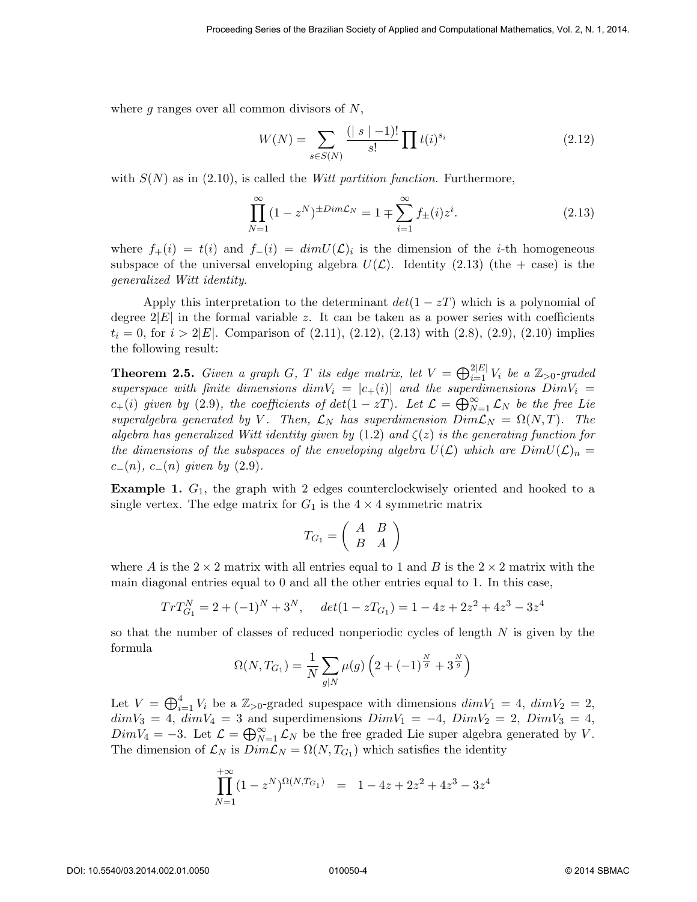where  $g$  ranges over all common divisors of  $N$ ,

$$
W(N) = \sum_{s \in S(N)} \frac{(|s| - 1)!}{s!} \prod t(i)^{s_i} \tag{2.12}
$$

with  $S(N)$  as in (2.10), is called the *Witt partition function*. Furthermore,

$$
\prod_{N=1}^{\infty} (1 - z^N)^{\pm Dim\mathcal{L}_N} = 1 \mp \sum_{i=1}^{\infty} f_{\pm}(i) z^i.
$$
 (2.13)

where  $f_+(i) = t(i)$  and  $f_-(i) = dim U(\mathcal{L})_i$  is the dimension of the *i*-th homogeneous subspace of the universal enveloping algebra  $U(\mathcal{L})$ . Identity (2.13) (the + case) is the generalized Witt identity.

Apply this interpretation to the determinant  $det(1 - zT)$  which is a polynomial of degree  $2|E|$  in the formal variable z. It can be taken as a power series with coefficients  $t_i = 0$ , for  $i > 2|E|$ . Comparison of  $(2.11)$ ,  $(2.12)$ ,  $(2.13)$  with  $(2.8)$ ,  $(2.9)$ ,  $(2.10)$  implies the following result:

**Theorem 2.5.** Given a graph G, T its edge matrix, let  $V = \bigoplus_{i=1}^{2|E|} V_i$  be a  $\mathbb{Z}_{>0}$ -graded superspace with finite dimensions dim $V_i = |c_+(i)|$  and the superdimensions  $DimV_i =$  $c_{+}(i)$  given by (2.9), the coefficients of  $det(1 - zT)$ . Let  $\mathcal{L} = \bigoplus_{N=1}^{\infty} \mathcal{L}_{N}$  be the free Lie superalgebra generated by V. Then,  $\mathcal{L}_N$  has superdimension  $Dim\mathcal{L}_N = \Omega(N,T)$ . The algebra has generalized Witt identity given by  $(1.2)$  and  $\zeta(z)$  is the generating function for the dimensions of the subspaces of the enveloping algebra  $U(\mathcal{L})$  which are  $DimU(\mathcal{L})_n =$  $c_-(n)$ ,  $c_-(n)$  given by  $(2.9)$ .

**Example 1.**  $G_1$ , the graph with 2 edges counterclockwisely oriented and hooked to a single vertex. The edge matrix for  $G_1$  is the  $4 \times 4$  symmetric matrix

$$
T_{G_1} = \left(\begin{array}{cc} A & B \\ B & A \end{array}\right)
$$

where A is the  $2 \times 2$  matrix with all entries equal to 1 and B is the  $2 \times 2$  matrix with the main diagonal entries equal to 0 and all the other entries equal to 1. In this case,

$$
TrT_{G_1}^N = 2 + (-1)^N + 3^N
$$
,  $det(1 - zT_{G_1}) = 1 - 4z + 2z^2 + 4z^3 - 3z^4$ 

so that the number of classes of reduced nonperiodic cycles of length  $N$  is given by the formula

$$
\Omega(N, T_{G_1}) = \frac{1}{N} \sum_{g|N} \mu(g) \left( 2 + (-1)^{\frac{N}{g}} + 3^{\frac{N}{g}} \right)
$$

Let  $V = \bigoplus_{i=1}^4 V_i$  be a  $\mathbb{Z}_{>0}$ -graded supespace with dimensions  $dim V_1 = 4$ ,  $dim V_2 = 2$ ,  $dimV_3 = 4$ ,  $dimV_4 = 3$  and superdimensions  $DimV_1 = -4$ ,  $DimV_2 = 2$ ,  $DimV_3 = 4$ ,  $DimV_4 = -3.$  Let  $\mathcal{L} = \bigoplus_{N=1}^{\infty} \mathcal{L}_N$  be the free graded Lie super algebra generated by V. The dimension of  $\mathcal{L}_N$  is  $Dim\mathcal{L}_N = \Omega(N, T_{G_1})$  which satisfies the identity

$$
\prod_{N=1}^{+\infty} (1 - z^N)^{\Omega(N, T_{G_1})} = 1 - 4z + 2z^2 + 4z^3 - 3z^4
$$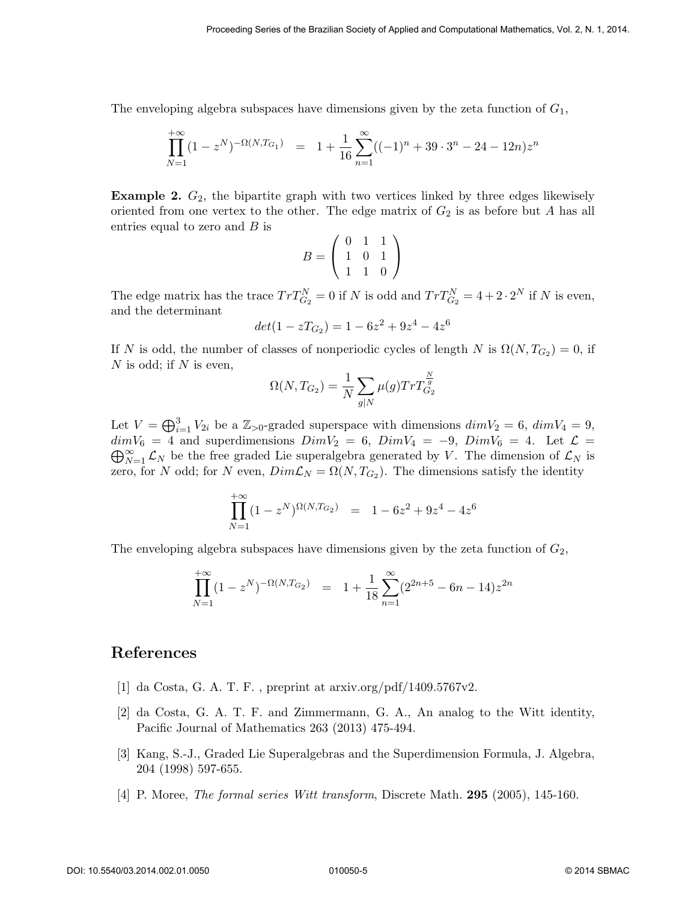The enveloping algebra subspaces have dimensions given by the zeta function of  $G_1$ ,

$$
\prod_{N=1}^{+\infty} (1 - z^N)^{-\Omega(N, T_{G_1})} = 1 + \frac{1}{16} \sum_{n=1}^{\infty} ((-1)^n + 39 \cdot 3^n - 24 - 12n) z^n
$$

**Example 2.**  $G_2$ , the bipartite graph with two vertices linked by three edges likewisely oriented from one vertex to the other. The edge matrix of  $G_2$  is as before but A has all entries equal to zero and  $B$  is

$$
B = \left(\begin{array}{rrr} 0 & 1 & 1 \\ 1 & 0 & 1 \\ 1 & 1 & 0 \end{array}\right)
$$

The edge matrix has the trace  $Tr T_{G_2}^N = 0$  if N is odd and  $Tr T_{G_2}^N = 4 + 2 \cdot 2^N$  if N is even, and the determinant

$$
det(1 - zT_{G_2}) = 1 - 6z^2 + 9z^4 - 4z^6
$$

If N is odd, the number of classes of nonperiodic cycles of length N is  $\Omega(N, T_{G_2}) = 0$ , if  $N$  is odd; if  $N$  is even,

$$
\Omega(N, T_{G_2}) = \frac{1}{N} \sum_{g|N} \mu(g) Tr T_{G_2}^{\frac{N}{g}}
$$

Let  $V = \bigoplus_{i=1}^{3} V_{2i}$  be a  $\mathbb{Z}_{>0}$ -graded superspace with dimensions  $dim V_2 = 6$ ,  $dim V_4 = 9$ ,  $\bigoplus_{N=1}^{\infty} \mathcal{L}_N$  be the free graded Lie superalgebra generated by V. The dimension of  $\mathcal{L}_N$  is  $dimV_6 = 4$  and superdimensions  $DimV_2 = 6$ ,  $DimV_4 = -9$ ,  $DimV_6 = 4$ . Let  $\mathcal{L} =$ zero, for N odd; for N even,  $Dim\mathcal{L}_N = \Omega(N,T_{G_2})$ . The dimensions satisfy the identity

$$
\prod_{N=1}^{+\infty} (1 - z^N)^{\Omega(N, T_{G_2})} = 1 - 6z^2 + 9z^4 - 4z^6
$$

The enveloping algebra subspaces have dimensions given by the zeta function of  $G_2$ ,

$$
\prod_{N=1}^{+\infty} (1 - z^N)^{-\Omega(N, T_{G_2})} = 1 + \frac{1}{18} \sum_{n=1}^{\infty} (2^{2n+5} - 6n - 14) z^{2n}
$$

## References

- [1] da Costa, G. A. T. F. , preprint at arxiv.org/pdf/1409.5767v2.
- [2] da Costa, G. A. T. F. and Zimmermann, G. A., An analog to the Witt identity, Pacific Journal of Mathematics 263 (2013) 475-494.
- [3] Kang, S.-J., Graded Lie Superalgebras and the Superdimension Formula, J. Algebra, 204 (1998) 597-655.
- [4] P. Moree, The formal series Witt transform, Discrete Math. 295 (2005), 145-160.